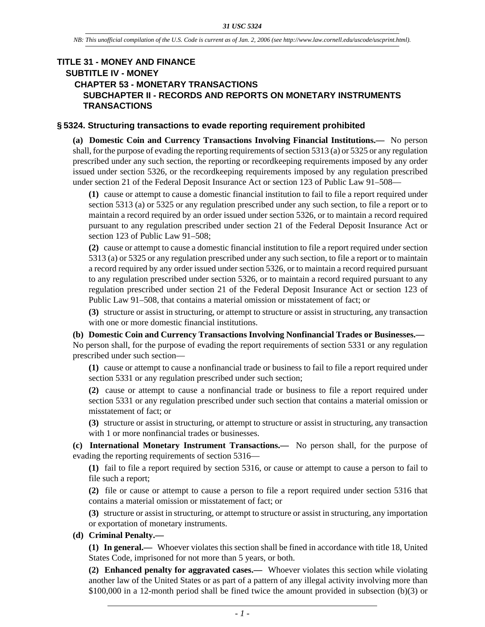## **TITLE 31 - MONEY AND FINANCE SUBTITLE IV - MONEY CHAPTER 53 - MONETARY TRANSACTIONS SUBCHAPTER II - RECORDS AND REPORTS ON MONETARY INSTRUMENTS TRANSACTIONS**

#### **§ 5324. Structuring transactions to evade reporting requirement prohibited**

**(a) Domestic Coin and Currency Transactions Involving Financial Institutions.—** No person shall, for the purpose of evading the reporting requirements of section 5313 (a) or 5325 or any regulation prescribed under any such section, the reporting or recordkeeping requirements imposed by any order issued under section 5326, or the recordkeeping requirements imposed by any regulation prescribed under section 21 of the Federal Deposit Insurance Act or section 123 of Public Law 91–508—

**(1)** cause or attempt to cause a domestic financial institution to fail to file a report required under section 5313 (a) or 5325 or any regulation prescribed under any such section, to file a report or to maintain a record required by an order issued under section 5326, or to maintain a record required pursuant to any regulation prescribed under section 21 of the Federal Deposit Insurance Act or section 123 of Public Law 91–508;

**(2)** cause or attempt to cause a domestic financial institution to file a report required under section 5313 (a) or 5325 or any regulation prescribed under any such section, to file a report or to maintain a record required by any order issued under section 5326, or to maintain a record required pursuant to any regulation prescribed under section 5326, or to maintain a record required pursuant to any regulation prescribed under section 21 of the Federal Deposit Insurance Act or section 123 of Public Law 91–508, that contains a material omission or misstatement of fact; or

**(3)** structure or assist in structuring, or attempt to structure or assist in structuring, any transaction with one or more domestic financial institutions.

**(b) Domestic Coin and Currency Transactions Involving Nonfinancial Trades or Businesses.—** No person shall, for the purpose of evading the report requirements of section 5331 or any regulation prescribed under such section—

**(1)** cause or attempt to cause a nonfinancial trade or business to fail to file a report required under section 5331 or any regulation prescribed under such section;

**(2)** cause or attempt to cause a nonfinancial trade or business to file a report required under section 5331 or any regulation prescribed under such section that contains a material omission or misstatement of fact; or

**(3)** structure or assist in structuring, or attempt to structure or assist in structuring, any transaction with 1 or more nonfinancial trades or businesses.

**(c) International Monetary Instrument Transactions.—** No person shall, for the purpose of evading the reporting requirements of section 5316—

**(1)** fail to file a report required by section 5316, or cause or attempt to cause a person to fail to file such a report;

**(2)** file or cause or attempt to cause a person to file a report required under section 5316 that contains a material omission or misstatement of fact; or

**(3)** structure or assist in structuring, or attempt to structure or assist in structuring, any importation or exportation of monetary instruments.

### **(d) Criminal Penalty.—**

**(1) In general.—** Whoever violates this section shall be fined in accordance with title 18, United States Code, imprisoned for not more than 5 years, or both.

**(2) Enhanced penalty for aggravated cases.—** Whoever violates this section while violating another law of the United States or as part of a pattern of any illegal activity involving more than \$100,000 in a 12-month period shall be fined twice the amount provided in subsection (b)(3) or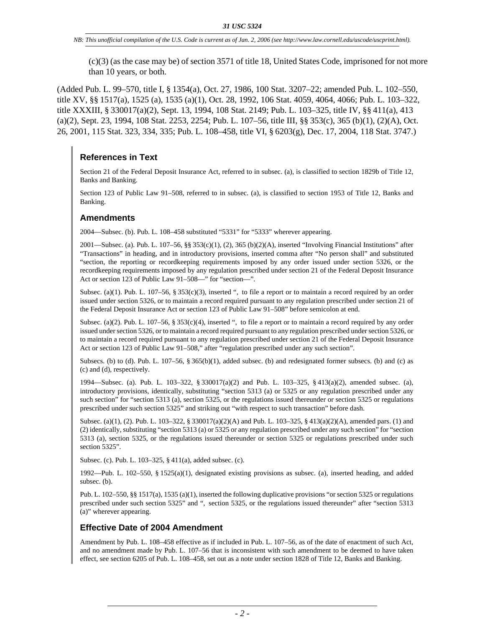(c)(3) (as the case may be) of section 3571 of title 18, United States Code, imprisoned for not more than 10 years, or both.

(Added Pub. L. 99–570, title I, § 1354(a), Oct. 27, 1986, 100 Stat. 3207–22; amended Pub. L. 102–550, title XV, §§ 1517(a), 1525 (a), 1535 (a)(1), Oct. 28, 1992, 106 Stat. 4059, 4064, 4066; Pub. L. 103–322, title XXXIII, § 330017(a)(2), Sept. 13, 1994, 108 Stat. 2149; Pub. L. 103–325, title IV, §§ 411(a), 413  $(a)(2)$ , Sept. 23, 1994, 108 Stat. 2253, 2254; Pub. L. 107–56, title III, §§ 353(c), 365 (b)(1), (2)(A), Oct. 26, 2001, 115 Stat. 323, 334, 335; Pub. L. 108–458, title VI, § 6203(g), Dec. 17, 2004, 118 Stat. 3747.)

# **References in Text**

Section 21 of the Federal Deposit Insurance Act, referred to in subsec. (a), is classified to section 1829b of Title 12, Banks and Banking.

Section 123 of Public Law 91–508, referred to in subsec. (a), is classified to section 1953 of Title 12, Banks and Banking.

## **Amendments**

2004—Subsec. (b). Pub. L. 108–458 substituted "5331" for "5333" wherever appearing.

2001—Subsec. (a). Pub. L. 107–56, §§ 353(c)(1), (2), 365 (b)(2)(A), inserted "Involving Financial Institutions" after "Transactions" in heading, and in introductory provisions, inserted comma after "No person shall" and substituted "section, the reporting or recordkeeping requirements imposed by any order issued under section 5326, or the recordkeeping requirements imposed by any regulation prescribed under section 21 of the Federal Deposit Insurance Act or section 123 of Public Law 91–508—" for "section—".

Subsec. (a)(1). Pub. L. 107–56, § 353(c)(3), inserted ", to file a report or to maintain a record required by an order issued under section 5326, or to maintain a record required pursuant to any regulation prescribed under section 21 of the Federal Deposit Insurance Act or section 123 of Public Law 91–508" before semicolon at end.

Subsec. (a)(2). Pub. L. 107-56, § 353(c)(4), inserted ", to file a report or to maintain a record required by any order issued under section 5326, or to maintain a record required pursuant to any regulation prescribed under section 5326, or to maintain a record required pursuant to any regulation prescribed under section 21 of the Federal Deposit Insurance Act or section 123 of Public Law 91–508," after "regulation prescribed under any such section".

Subsecs. (b) to (d). Pub. L.  $107-56$ ,  $\S 365(b)(1)$ , added subsec. (b) and redesignated former subsecs. (b) and (c) as (c) and (d), respectively.

1994—Subsec. (a). Pub. L. 103–322, § 330017(a)(2) and Pub. L. 103–325, § 413(a)(2), amended subsec. (a), introductory provisions, identically, substituting "section 5313 (a) or 5325 or any regulation prescribed under any such section" for "section 5313 (a), section 5325, or the regulations issued thereunder or section 5325 or regulations prescribed under such section 5325" and striking out "with respect to such transaction" before dash.

Subsec. (a)(1), (2). Pub. L. 103–322, § 330017(a)(2)(A) and Pub. L. 103–325, § 413(a)(2)(A), amended pars. (1) and (2) identically, substituting "section 5313 (a) or 5325 or any regulation prescribed under any such section" for "section 5313 (a), section 5325, or the regulations issued thereunder or section 5325 or regulations prescribed under such section 5325".

Subsec. (c). Pub. L. 103–325, § 411(a), added subsec. (c).

1992—Pub. L. 102–550, § 1525(a)(1), designated existing provisions as subsec. (a), inserted heading, and added subsec. (b).

Pub. L. 102–550, §§ 1517(a), 1535 (a)(1), inserted the following duplicative provisions "or section 5325 or regulations prescribed under such section 5325" and ", section 5325, or the regulations issued thereunder" after "section 5313 (a)" wherever appearing.

## **Effective Date of 2004 Amendment**

Amendment by Pub. L. 108–458 effective as if included in Pub. L. 107–56, as of the date of enactment of such Act, and no amendment made by Pub. L. 107–56 that is inconsistent with such amendment to be deemed to have taken effect, see section 6205 of Pub. L. 108–458, set out as a note under section 1828 of Title 12, Banks and Banking.